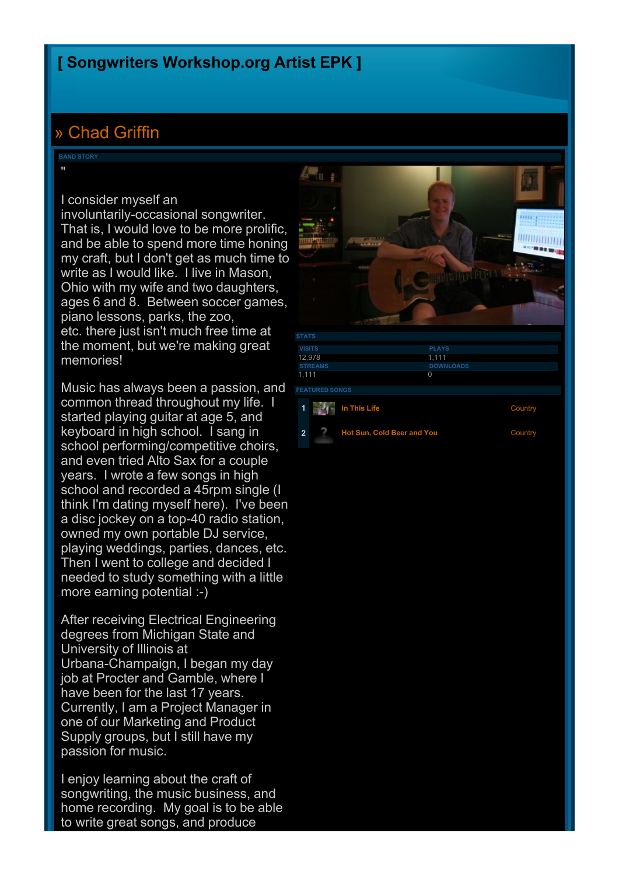### **[\[](http://www.songwritersworkshop.org/community) [Songwriters](http://www.songwritersworkshop.org/community) [Workshop.org](http://www.songwritersworkshop.org/community) [Artist](http://www.songwritersworkshop.org/community) [EPK](http://www.songwritersworkshop.org/community) [\]](http://www.songwritersworkshop.org/community)**

# [»](http://www.songwritersworkshop.org/community/Chad_Griffin/) [Chad](http://www.songwritersworkshop.org/community/Chad_Griffin/) [Griffin](http://www.songwritersworkshop.org/community/Chad_Griffin/)

**BAND STORY**

"

#### I consider myself an

involuntarily-occasional songwriter. That is, I would love to be more prolific, and be able to spend more time honing my craft, but I don't get as much time to write as I would like. I live in Mason, Ohio with my wife and two daughters, ages 6 and 8. Between soccer games, piano lessons, parks, the zoo, etc. there just isn't much free time at the moment, but we're making great memories!

Music has always been a passion, and common thread throughout my life. I started playing guitar at age 5, and keyboard in high school. I sang in school performing/competitive choirs, and even tried Alto Sax for a couple years. I wrote a few songs in high school and recorded a 45rpm single (I think I'm dating myself here). I've been a disc jockey on a top-40 radio station, owned my own portable DJ service, playing weddings, parties, dances, etc. Then I went to college and decided I needed to study something with a little more earning potential :-)

After receiving Electrical Engineering degrees from Michigan State and University of Illinois at Urbana-Champaign, I began my day job at Procter and Gamble, where I have been for the last 17 years. Currently, I am a Project Manager in one of our Marketing and Product Supply groups, but I still have my passion for music.

I enjoy learning about the craft of songwriting, the music business, and home recording. My goal is to be able to write great songs, and produce